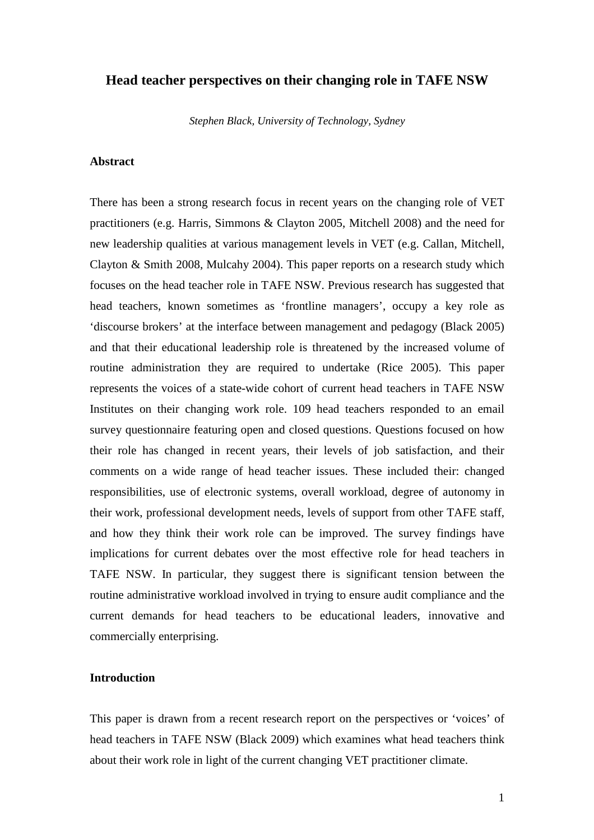## **Head teacher perspectives on their changing role in TAFE NSW**

*Stephen Black, University of Technology, Sydney* 

# **Abstract**

There has been a strong research focus in recent years on the changing role of VET practitioners (e.g. Harris, Simmons & Clayton 2005, Mitchell 2008) and the need for new leadership qualities at various management levels in VET (e.g. Callan, Mitchell, Clayton & Smith 2008, Mulcahy 2004). This paper reports on a research study which focuses on the head teacher role in TAFE NSW. Previous research has suggested that head teachers, known sometimes as 'frontline managers', occupy a key role as 'discourse brokers' at the interface between management and pedagogy (Black 2005) and that their educational leadership role is threatened by the increased volume of routine administration they are required to undertake (Rice 2005). This paper represents the voices of a state-wide cohort of current head teachers in TAFE NSW Institutes on their changing work role. 109 head teachers responded to an email survey questionnaire featuring open and closed questions. Questions focused on how their role has changed in recent years, their levels of job satisfaction, and their comments on a wide range of head teacher issues. These included their: changed responsibilities, use of electronic systems, overall workload, degree of autonomy in their work, professional development needs, levels of support from other TAFE staff, and how they think their work role can be improved. The survey findings have implications for current debates over the most effective role for head teachers in TAFE NSW. In particular, they suggest there is significant tension between the routine administrative workload involved in trying to ensure audit compliance and the current demands for head teachers to be educational leaders, innovative and commercially enterprising.

# **Introduction**

This paper is drawn from a recent research report on the perspectives or 'voices' of head teachers in TAFE NSW (Black 2009) which examines what head teachers think about their work role in light of the current changing VET practitioner climate.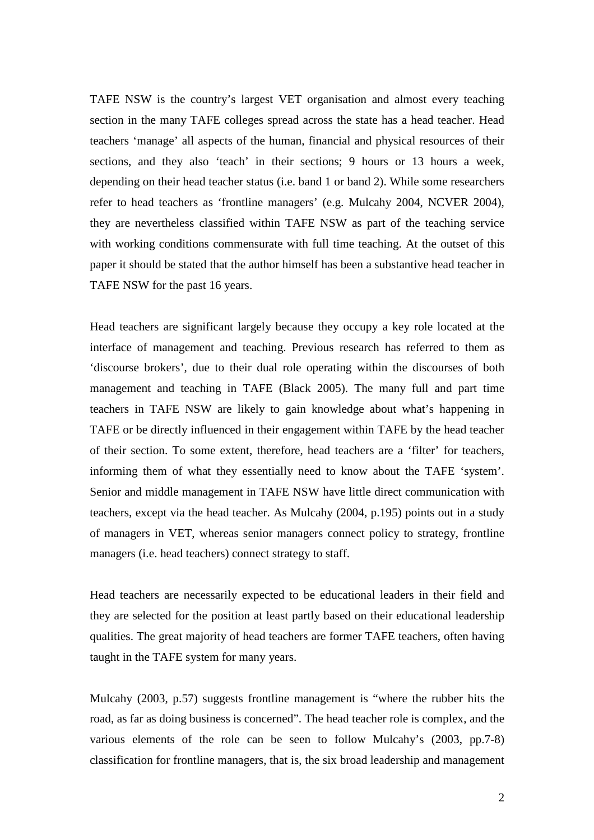TAFE NSW is the country's largest VET organisation and almost every teaching section in the many TAFE colleges spread across the state has a head teacher. Head teachers 'manage' all aspects of the human, financial and physical resources of their sections, and they also 'teach' in their sections; 9 hours or 13 hours a week, depending on their head teacher status (i.e. band 1 or band 2). While some researchers refer to head teachers as 'frontline managers' (e.g. Mulcahy 2004, NCVER 2004), they are nevertheless classified within TAFE NSW as part of the teaching service with working conditions commensurate with full time teaching. At the outset of this paper it should be stated that the author himself has been a substantive head teacher in TAFE NSW for the past 16 years.

Head teachers are significant largely because they occupy a key role located at the interface of management and teaching. Previous research has referred to them as 'discourse brokers', due to their dual role operating within the discourses of both management and teaching in TAFE (Black 2005). The many full and part time teachers in TAFE NSW are likely to gain knowledge about what's happening in TAFE or be directly influenced in their engagement within TAFE by the head teacher of their section. To some extent, therefore, head teachers are a 'filter' for teachers, informing them of what they essentially need to know about the TAFE 'system'. Senior and middle management in TAFE NSW have little direct communication with teachers, except via the head teacher. As Mulcahy (2004, p.195) points out in a study of managers in VET, whereas senior managers connect policy to strategy, frontline managers (i.e. head teachers) connect strategy to staff.

Head teachers are necessarily expected to be educational leaders in their field and they are selected for the position at least partly based on their educational leadership qualities. The great majority of head teachers are former TAFE teachers, often having taught in the TAFE system for many years.

Mulcahy (2003, p.57) suggests frontline management is "where the rubber hits the road, as far as doing business is concerned". The head teacher role is complex, and the various elements of the role can be seen to follow Mulcahy's (2003, pp.7-8) classification for frontline managers, that is, the six broad leadership and management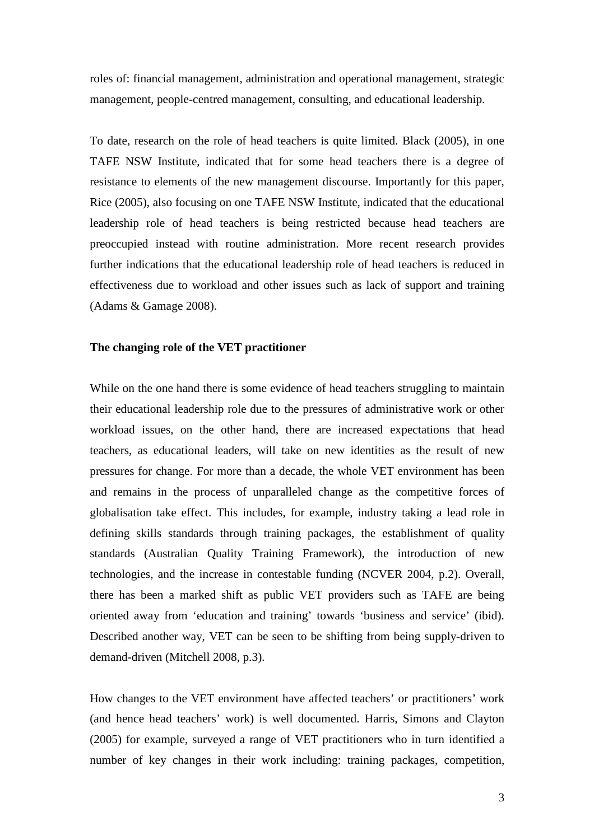roles of: financial management, administration and operational management, strategic management, people-centred management, consulting, and educational leadership.

To date, research on the role of head teachers is quite limited. Black (2005), in one TAFE NSW Institute, indicated that for some head teachers there is a degree of resistance to elements of the new management discourse. Importantly for this paper, Rice (2005), also focusing on one TAFE NSW Institute, indicated that the educational leadership role of head teachers is being restricted because head teachers are preoccupied instead with routine administration. More recent research provides further indications that the educational leadership role of head teachers is reduced in effectiveness due to workload and other issues such as lack of support and training (Adams & Gamage 2008).

## **The changing role of the VET practitioner**

While on the one hand there is some evidence of head teachers struggling to maintain their educational leadership role due to the pressures of administrative work or other workload issues, on the other hand, there are increased expectations that head teachers, as educational leaders, will take on new identities as the result of new pressures for change. For more than a decade, the whole VET environment has been and remains in the process of unparalleled change as the competitive forces of globalisation take effect. This includes, for example, industry taking a lead role in defining skills standards through training packages, the establishment of quality standards (Australian Quality Training Framework), the introduction of new technologies, and the increase in contestable funding (NCVER 2004, p.2). Overall, there has been a marked shift as public VET providers such as TAFE are being oriented away from 'education and training' towards 'business and service' (ibid). Described another way, VET can be seen to be shifting from being supply-driven to demand-driven (Mitchell 2008, p.3).

How changes to the VET environment have affected teachers' or practitioners' work (and hence head teachers' work) is well documented. Harris, Simons and Clayton (2005) for example, surveyed a range of VET practitioners who in turn identified a number of key changes in their work including: training packages, competition,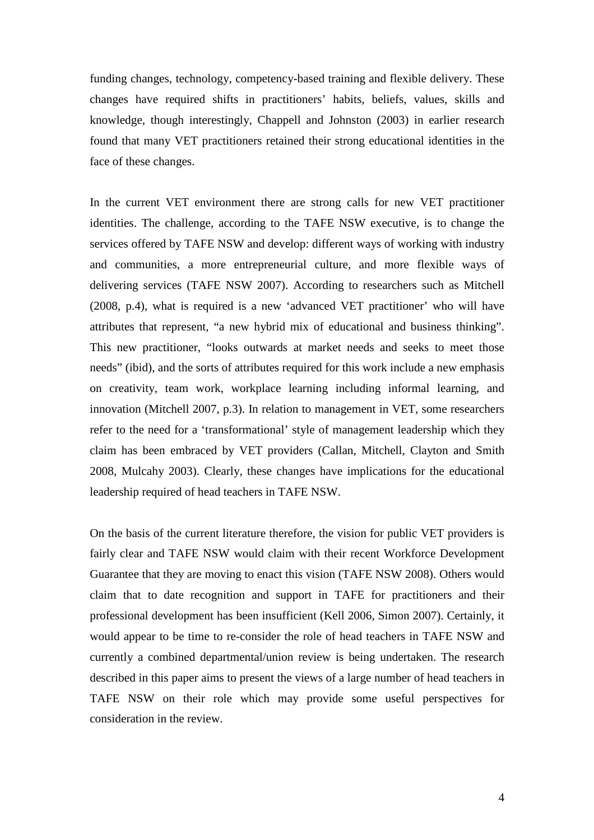funding changes, technology, competency-based training and flexible delivery. These changes have required shifts in practitioners' habits, beliefs, values, skills and knowledge, though interestingly, Chappell and Johnston (2003) in earlier research found that many VET practitioners retained their strong educational identities in the face of these changes.

In the current VET environment there are strong calls for new VET practitioner identities. The challenge, according to the TAFE NSW executive, is to change the services offered by TAFE NSW and develop: different ways of working with industry and communities, a more entrepreneurial culture, and more flexible ways of delivering services (TAFE NSW 2007). According to researchers such as Mitchell (2008, p.4), what is required is a new 'advanced VET practitioner' who will have attributes that represent, "a new hybrid mix of educational and business thinking". This new practitioner, "looks outwards at market needs and seeks to meet those needs" (ibid), and the sorts of attributes required for this work include a new emphasis on creativity, team work, workplace learning including informal learning, and innovation (Mitchell 2007, p.3). In relation to management in VET, some researchers refer to the need for a 'transformational' style of management leadership which they claim has been embraced by VET providers (Callan, Mitchell, Clayton and Smith 2008, Mulcahy 2003). Clearly, these changes have implications for the educational leadership required of head teachers in TAFE NSW.

On the basis of the current literature therefore, the vision for public VET providers is fairly clear and TAFE NSW would claim with their recent Workforce Development Guarantee that they are moving to enact this vision (TAFE NSW 2008). Others would claim that to date recognition and support in TAFE for practitioners and their professional development has been insufficient (Kell 2006, Simon 2007). Certainly, it would appear to be time to re-consider the role of head teachers in TAFE NSW and currently a combined departmental/union review is being undertaken. The research described in this paper aims to present the views of a large number of head teachers in TAFE NSW on their role which may provide some useful perspectives for consideration in the review.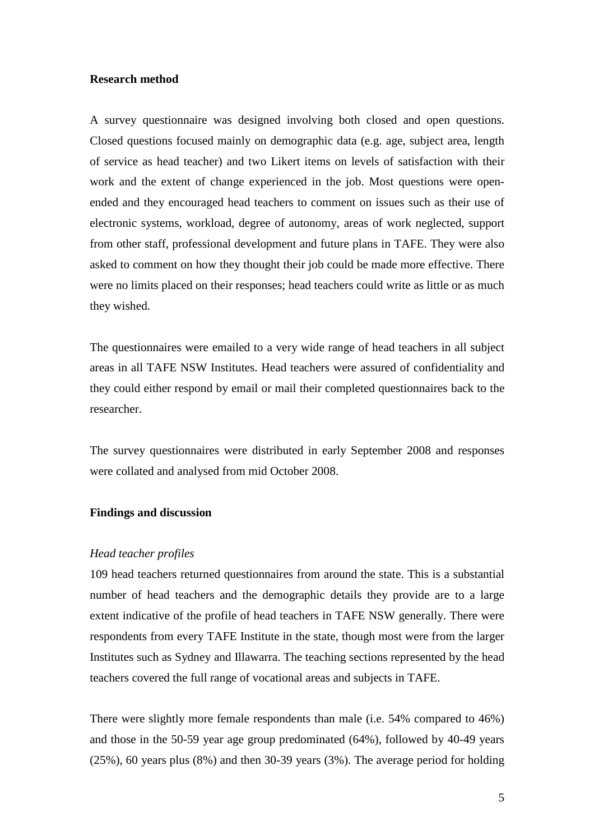## **Research method**

A survey questionnaire was designed involving both closed and open questions. Closed questions focused mainly on demographic data (e.g. age, subject area, length of service as head teacher) and two Likert items on levels of satisfaction with their work and the extent of change experienced in the job. Most questions were openended and they encouraged head teachers to comment on issues such as their use of electronic systems, workload, degree of autonomy, areas of work neglected, support from other staff, professional development and future plans in TAFE. They were also asked to comment on how they thought their job could be made more effective. There were no limits placed on their responses; head teachers could write as little or as much they wished.

The questionnaires were emailed to a very wide range of head teachers in all subject areas in all TAFE NSW Institutes. Head teachers were assured of confidentiality and they could either respond by email or mail their completed questionnaires back to the researcher.

The survey questionnaires were distributed in early September 2008 and responses were collated and analysed from mid October 2008.

## **Findings and discussion**

#### *Head teacher profiles*

109 head teachers returned questionnaires from around the state. This is a substantial number of head teachers and the demographic details they provide are to a large extent indicative of the profile of head teachers in TAFE NSW generally. There were respondents from every TAFE Institute in the state, though most were from the larger Institutes such as Sydney and Illawarra. The teaching sections represented by the head teachers covered the full range of vocational areas and subjects in TAFE.

There were slightly more female respondents than male (i.e. 54% compared to 46%) and those in the 50-59 year age group predominated (64%), followed by 40-49 years (25%), 60 years plus (8%) and then 30-39 years (3%). The average period for holding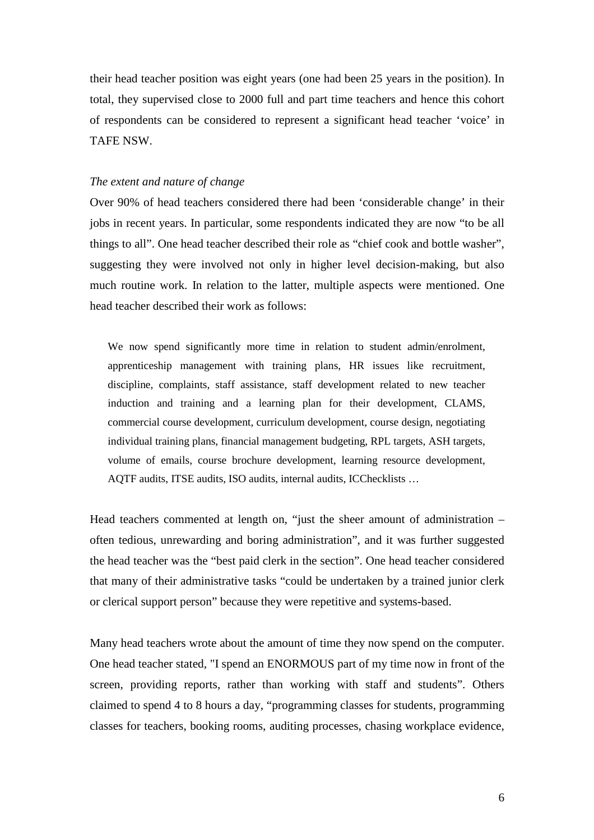their head teacher position was eight years (one had been 25 years in the position). In total, they supervised close to 2000 full and part time teachers and hence this cohort of respondents can be considered to represent a significant head teacher 'voice' in TAFE NSW.

## *The extent and nature of change*

Over 90% of head teachers considered there had been 'considerable change' in their jobs in recent years. In particular, some respondents indicated they are now "to be all things to all". One head teacher described their role as "chief cook and bottle washer", suggesting they were involved not only in higher level decision-making, but also much routine work. In relation to the latter, multiple aspects were mentioned. One head teacher described their work as follows:

We now spend significantly more time in relation to student admin/enrolment, apprenticeship management with training plans, HR issues like recruitment, discipline, complaints, staff assistance, staff development related to new teacher induction and training and a learning plan for their development, CLAMS, commercial course development, curriculum development, course design, negotiating individual training plans, financial management budgeting, RPL targets, ASH targets, volume of emails, course brochure development, learning resource development, AQTF audits, ITSE audits, ISO audits, internal audits, ICChecklists …

Head teachers commented at length on, "just the sheer amount of administration – often tedious, unrewarding and boring administration", and it was further suggested the head teacher was the "best paid clerk in the section". One head teacher considered that many of their administrative tasks "could be undertaken by a trained junior clerk or clerical support person" because they were repetitive and systems-based.

Many head teachers wrote about the amount of time they now spend on the computer. One head teacher stated, "I spend an ENORMOUS part of my time now in front of the screen, providing reports, rather than working with staff and students". Others claimed to spend 4 to 8 hours a day, "programming classes for students, programming classes for teachers, booking rooms, auditing processes, chasing workplace evidence,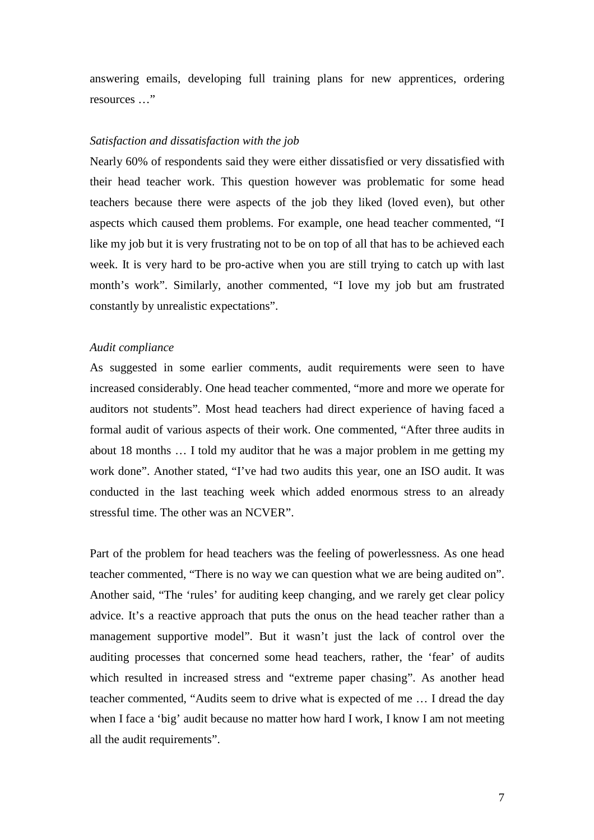answering emails, developing full training plans for new apprentices, ordering resources …"

### *Satisfaction and dissatisfaction with the job*

Nearly 60% of respondents said they were either dissatisfied or very dissatisfied with their head teacher work. This question however was problematic for some head teachers because there were aspects of the job they liked (loved even), but other aspects which caused them problems. For example, one head teacher commented, "I like my job but it is very frustrating not to be on top of all that has to be achieved each week. It is very hard to be pro-active when you are still trying to catch up with last month's work". Similarly, another commented, "I love my job but am frustrated constantly by unrealistic expectations".

## *Audit compliance*

As suggested in some earlier comments, audit requirements were seen to have increased considerably. One head teacher commented, "more and more we operate for auditors not students". Most head teachers had direct experience of having faced a formal audit of various aspects of their work. One commented, "After three audits in about 18 months … I told my auditor that he was a major problem in me getting my work done". Another stated, "I've had two audits this year, one an ISO audit. It was conducted in the last teaching week which added enormous stress to an already stressful time. The other was an NCVER".

Part of the problem for head teachers was the feeling of powerlessness. As one head teacher commented, "There is no way we can question what we are being audited on". Another said, "The 'rules' for auditing keep changing, and we rarely get clear policy advice. It's a reactive approach that puts the onus on the head teacher rather than a management supportive model". But it wasn't just the lack of control over the auditing processes that concerned some head teachers, rather, the 'fear' of audits which resulted in increased stress and "extreme paper chasing". As another head teacher commented, "Audits seem to drive what is expected of me … I dread the day when I face a 'big' audit because no matter how hard I work, I know I am not meeting all the audit requirements".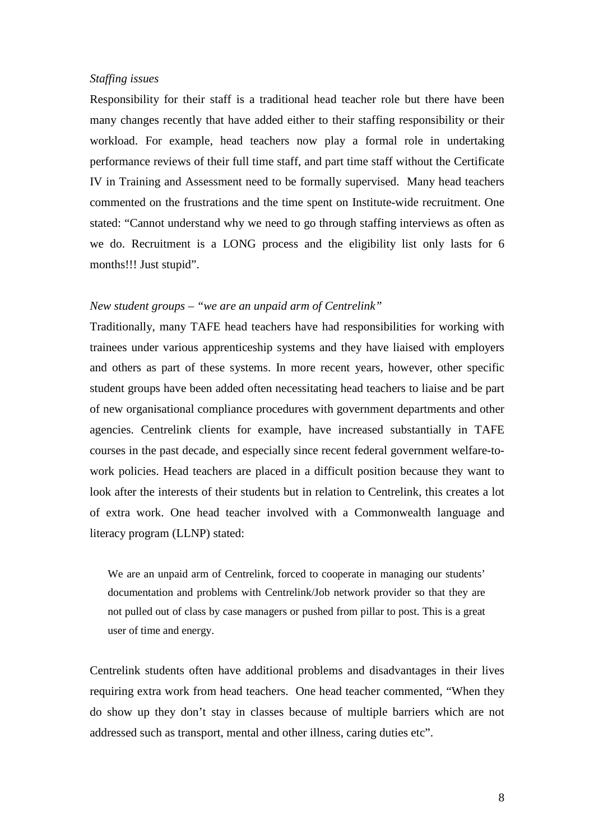## *Staffing issues*

Responsibility for their staff is a traditional head teacher role but there have been many changes recently that have added either to their staffing responsibility or their workload. For example, head teachers now play a formal role in undertaking performance reviews of their full time staff, and part time staff without the Certificate IV in Training and Assessment need to be formally supervised. Many head teachers commented on the frustrations and the time spent on Institute-wide recruitment. One stated: "Cannot understand why we need to go through staffing interviews as often as we do. Recruitment is a LONG process and the eligibility list only lasts for 6 months!!! Just stupid".

#### *New student groups – "we are an unpaid arm of Centrelink"*

Traditionally, many TAFE head teachers have had responsibilities for working with trainees under various apprenticeship systems and they have liaised with employers and others as part of these systems. In more recent years, however, other specific student groups have been added often necessitating head teachers to liaise and be part of new organisational compliance procedures with government departments and other agencies. Centrelink clients for example, have increased substantially in TAFE courses in the past decade, and especially since recent federal government welfare-towork policies. Head teachers are placed in a difficult position because they want to look after the interests of their students but in relation to Centrelink, this creates a lot of extra work. One head teacher involved with a Commonwealth language and literacy program (LLNP) stated:

We are an unpaid arm of Centrelink, forced to cooperate in managing our students' documentation and problems with Centrelink/Job network provider so that they are not pulled out of class by case managers or pushed from pillar to post. This is a great user of time and energy.

Centrelink students often have additional problems and disadvantages in their lives requiring extra work from head teachers. One head teacher commented, "When they do show up they don't stay in classes because of multiple barriers which are not addressed such as transport, mental and other illness, caring duties etc".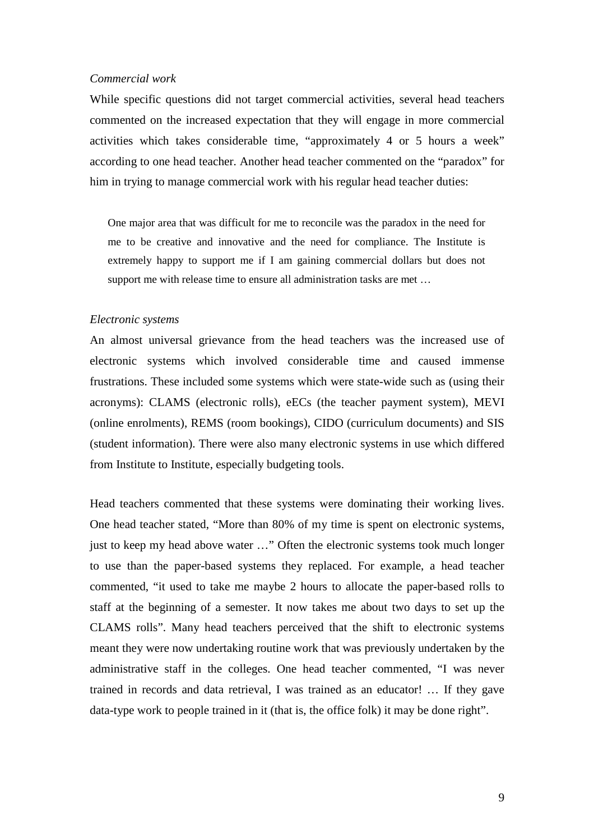#### *Commercial work*

While specific questions did not target commercial activities, several head teachers commented on the increased expectation that they will engage in more commercial activities which takes considerable time, "approximately 4 or 5 hours a week" according to one head teacher. Another head teacher commented on the "paradox" for him in trying to manage commercial work with his regular head teacher duties:

One major area that was difficult for me to reconcile was the paradox in the need for me to be creative and innovative and the need for compliance. The Institute is extremely happy to support me if I am gaining commercial dollars but does not support me with release time to ensure all administration tasks are met …

### *Electronic systems*

An almost universal grievance from the head teachers was the increased use of electronic systems which involved considerable time and caused immense frustrations. These included some systems which were state-wide such as (using their acronyms): CLAMS (electronic rolls), eECs (the teacher payment system), MEVI (online enrolments), REMS (room bookings), CIDO (curriculum documents) and SIS (student information). There were also many electronic systems in use which differed from Institute to Institute, especially budgeting tools.

Head teachers commented that these systems were dominating their working lives. One head teacher stated, "More than 80% of my time is spent on electronic systems, just to keep my head above water …" Often the electronic systems took much longer to use than the paper-based systems they replaced. For example, a head teacher commented, "it used to take me maybe 2 hours to allocate the paper-based rolls to staff at the beginning of a semester. It now takes me about two days to set up the CLAMS rolls". Many head teachers perceived that the shift to electronic systems meant they were now undertaking routine work that was previously undertaken by the administrative staff in the colleges. One head teacher commented, "I was never trained in records and data retrieval, I was trained as an educator! … If they gave data-type work to people trained in it (that is, the office folk) it may be done right".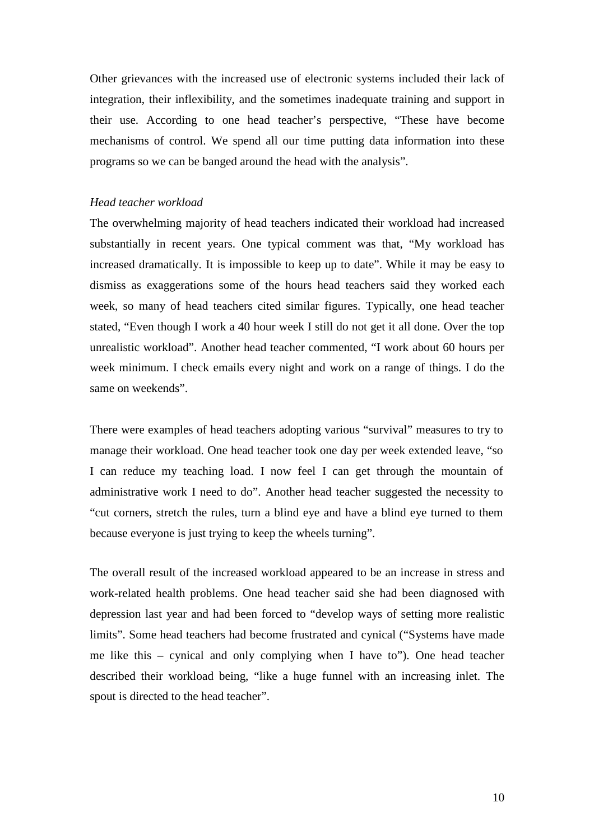Other grievances with the increased use of electronic systems included their lack of integration, their inflexibility, and the sometimes inadequate training and support in their use. According to one head teacher's perspective, "These have become mechanisms of control. We spend all our time putting data information into these programs so we can be banged around the head with the analysis".

### *Head teacher workload*

The overwhelming majority of head teachers indicated their workload had increased substantially in recent years. One typical comment was that, "My workload has increased dramatically. It is impossible to keep up to date". While it may be easy to dismiss as exaggerations some of the hours head teachers said they worked each week, so many of head teachers cited similar figures. Typically, one head teacher stated, "Even though I work a 40 hour week I still do not get it all done. Over the top unrealistic workload". Another head teacher commented, "I work about 60 hours per week minimum. I check emails every night and work on a range of things. I do the same on weekends".

There were examples of head teachers adopting various "survival" measures to try to manage their workload. One head teacher took one day per week extended leave, "so I can reduce my teaching load. I now feel I can get through the mountain of administrative work I need to do". Another head teacher suggested the necessity to "cut corners, stretch the rules, turn a blind eye and have a blind eye turned to them because everyone is just trying to keep the wheels turning".

The overall result of the increased workload appeared to be an increase in stress and work-related health problems. One head teacher said she had been diagnosed with depression last year and had been forced to "develop ways of setting more realistic limits". Some head teachers had become frustrated and cynical ("Systems have made me like this – cynical and only complying when I have to"). One head teacher described their workload being, "like a huge funnel with an increasing inlet. The spout is directed to the head teacher".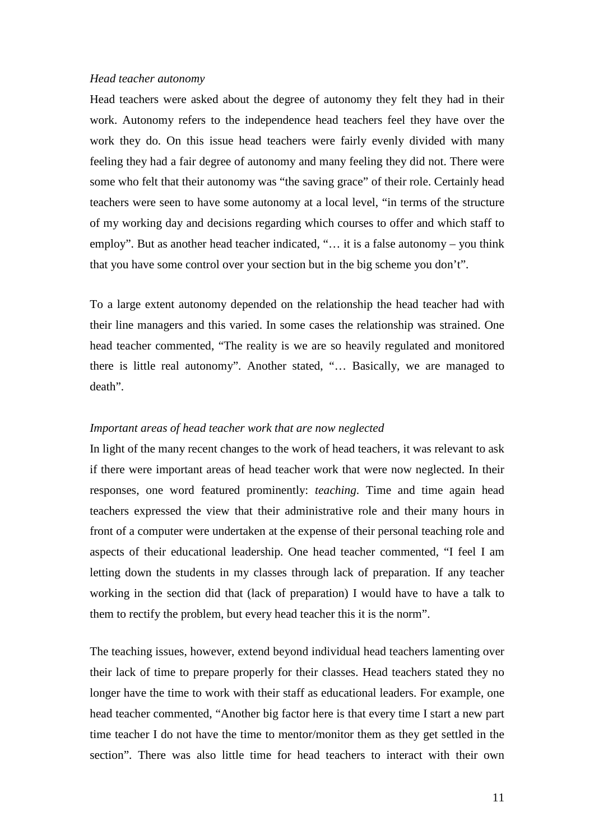#### *Head teacher autonomy*

Head teachers were asked about the degree of autonomy they felt they had in their work. Autonomy refers to the independence head teachers feel they have over the work they do. On this issue head teachers were fairly evenly divided with many feeling they had a fair degree of autonomy and many feeling they did not. There were some who felt that their autonomy was "the saving grace" of their role. Certainly head teachers were seen to have some autonomy at a local level, "in terms of the structure of my working day and decisions regarding which courses to offer and which staff to employ". But as another head teacher indicated, "… it is a false autonomy – you think that you have some control over your section but in the big scheme you don't".

To a large extent autonomy depended on the relationship the head teacher had with their line managers and this varied. In some cases the relationship was strained. One head teacher commented, "The reality is we are so heavily regulated and monitored there is little real autonomy". Another stated, "… Basically, we are managed to death".

#### *Important areas of head teacher work that are now neglected*

In light of the many recent changes to the work of head teachers, it was relevant to ask if there were important areas of head teacher work that were now neglected. In their responses, one word featured prominently: *teaching*. Time and time again head teachers expressed the view that their administrative role and their many hours in front of a computer were undertaken at the expense of their personal teaching role and aspects of their educational leadership. One head teacher commented, "I feel I am letting down the students in my classes through lack of preparation. If any teacher working in the section did that (lack of preparation) I would have to have a talk to them to rectify the problem, but every head teacher this it is the norm".

The teaching issues, however, extend beyond individual head teachers lamenting over their lack of time to prepare properly for their classes. Head teachers stated they no longer have the time to work with their staff as educational leaders. For example, one head teacher commented, "Another big factor here is that every time I start a new part time teacher I do not have the time to mentor/monitor them as they get settled in the section". There was also little time for head teachers to interact with their own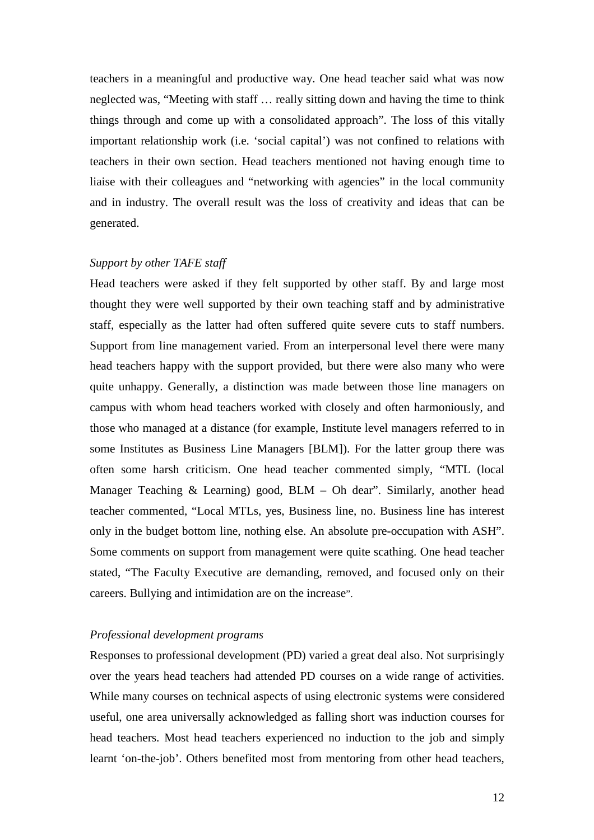teachers in a meaningful and productive way. One head teacher said what was now neglected was, "Meeting with staff … really sitting down and having the time to think things through and come up with a consolidated approach". The loss of this vitally important relationship work (i.e. 'social capital') was not confined to relations with teachers in their own section. Head teachers mentioned not having enough time to liaise with their colleagues and "networking with agencies" in the local community and in industry. The overall result was the loss of creativity and ideas that can be generated.

## *Support by other TAFE staff*

Head teachers were asked if they felt supported by other staff. By and large most thought they were well supported by their own teaching staff and by administrative staff, especially as the latter had often suffered quite severe cuts to staff numbers. Support from line management varied. From an interpersonal level there were many head teachers happy with the support provided, but there were also many who were quite unhappy. Generally, a distinction was made between those line managers on campus with whom head teachers worked with closely and often harmoniously, and those who managed at a distance (for example, Institute level managers referred to in some Institutes as Business Line Managers [BLM]). For the latter group there was often some harsh criticism. One head teacher commented simply, "MTL (local Manager Teaching & Learning) good, BLM – Oh dear". Similarly, another head teacher commented, "Local MTLs, yes, Business line, no. Business line has interest only in the budget bottom line, nothing else. An absolute pre-occupation with ASH". Some comments on support from management were quite scathing. One head teacher stated, "The Faculty Executive are demanding, removed, and focused only on their careers. Bullying and intimidation are on the increase".

#### *Professional development programs*

Responses to professional development (PD) varied a great deal also. Not surprisingly over the years head teachers had attended PD courses on a wide range of activities. While many courses on technical aspects of using electronic systems were considered useful, one area universally acknowledged as falling short was induction courses for head teachers. Most head teachers experienced no induction to the job and simply learnt 'on-the-job'. Others benefited most from mentoring from other head teachers,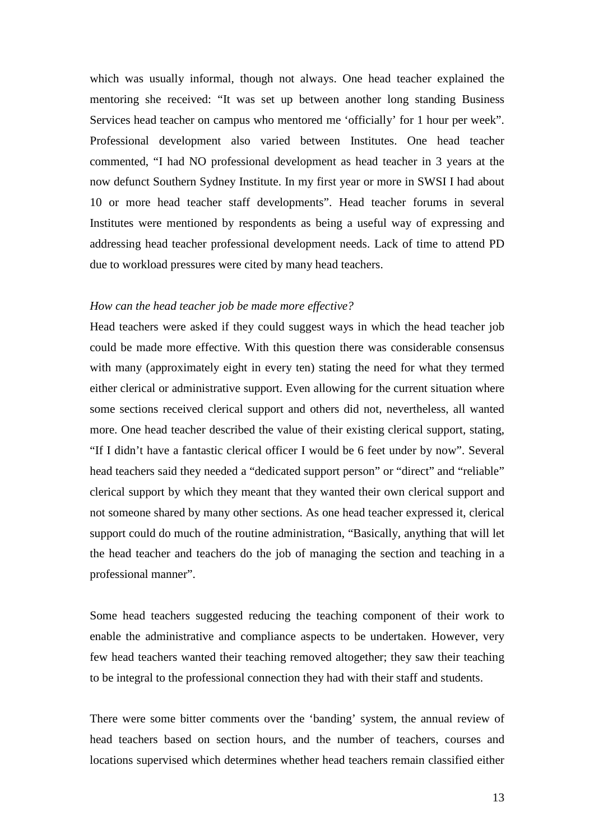which was usually informal, though not always. One head teacher explained the mentoring she received: "It was set up between another long standing Business Services head teacher on campus who mentored me 'officially' for 1 hour per week". Professional development also varied between Institutes. One head teacher commented, "I had NO professional development as head teacher in 3 years at the now defunct Southern Sydney Institute. In my first year or more in SWSI I had about 10 or more head teacher staff developments". Head teacher forums in several Institutes were mentioned by respondents as being a useful way of expressing and addressing head teacher professional development needs. Lack of time to attend PD due to workload pressures were cited by many head teachers.

#### *How can the head teacher job be made more effective?*

Head teachers were asked if they could suggest ways in which the head teacher job could be made more effective. With this question there was considerable consensus with many (approximately eight in every ten) stating the need for what they termed either clerical or administrative support. Even allowing for the current situation where some sections received clerical support and others did not, nevertheless, all wanted more. One head teacher described the value of their existing clerical support, stating, "If I didn't have a fantastic clerical officer I would be 6 feet under by now". Several head teachers said they needed a "dedicated support person" or "direct" and "reliable" clerical support by which they meant that they wanted their own clerical support and not someone shared by many other sections. As one head teacher expressed it, clerical support could do much of the routine administration, "Basically, anything that will let the head teacher and teachers do the job of managing the section and teaching in a professional manner".

Some head teachers suggested reducing the teaching component of their work to enable the administrative and compliance aspects to be undertaken. However, very few head teachers wanted their teaching removed altogether; they saw their teaching to be integral to the professional connection they had with their staff and students.

There were some bitter comments over the 'banding' system, the annual review of head teachers based on section hours, and the number of teachers, courses and locations supervised which determines whether head teachers remain classified either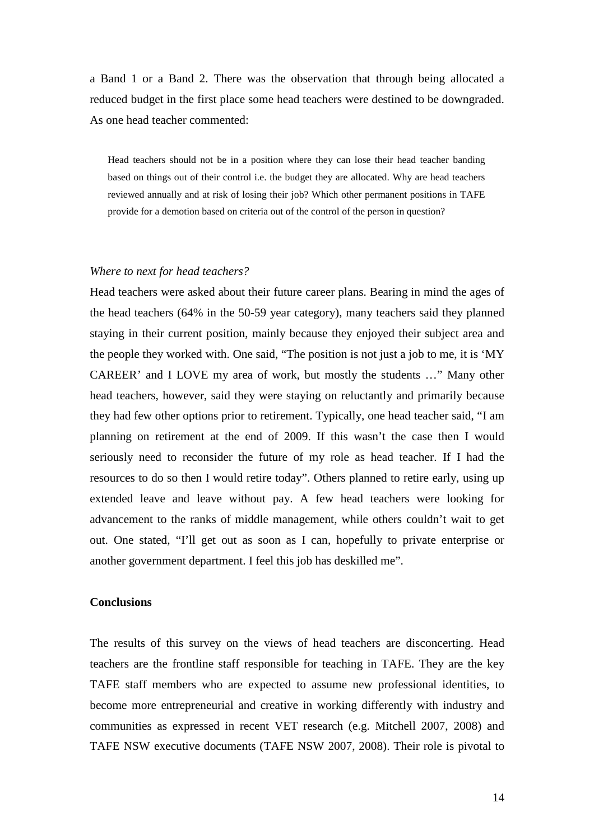a Band 1 or a Band 2. There was the observation that through being allocated a reduced budget in the first place some head teachers were destined to be downgraded. As one head teacher commented:

Head teachers should not be in a position where they can lose their head teacher banding based on things out of their control i.e. the budget they are allocated. Why are head teachers reviewed annually and at risk of losing their job? Which other permanent positions in TAFE provide for a demotion based on criteria out of the control of the person in question?

### *Where to next for head teachers?*

Head teachers were asked about their future career plans. Bearing in mind the ages of the head teachers (64% in the 50-59 year category), many teachers said they planned staying in their current position, mainly because they enjoyed their subject area and the people they worked with. One said, "The position is not just a job to me, it is 'MY CAREER' and I LOVE my area of work, but mostly the students …" Many other head teachers, however, said they were staying on reluctantly and primarily because they had few other options prior to retirement. Typically, one head teacher said, "I am planning on retirement at the end of 2009. If this wasn't the case then I would seriously need to reconsider the future of my role as head teacher. If I had the resources to do so then I would retire today". Others planned to retire early, using up extended leave and leave without pay. A few head teachers were looking for advancement to the ranks of middle management, while others couldn't wait to get out. One stated, "I'll get out as soon as I can, hopefully to private enterprise or another government department. I feel this job has deskilled me".

### **Conclusions**

The results of this survey on the views of head teachers are disconcerting. Head teachers are the frontline staff responsible for teaching in TAFE. They are the key TAFE staff members who are expected to assume new professional identities, to become more entrepreneurial and creative in working differently with industry and communities as expressed in recent VET research (e.g. Mitchell 2007, 2008) and TAFE NSW executive documents (TAFE NSW 2007, 2008). Their role is pivotal to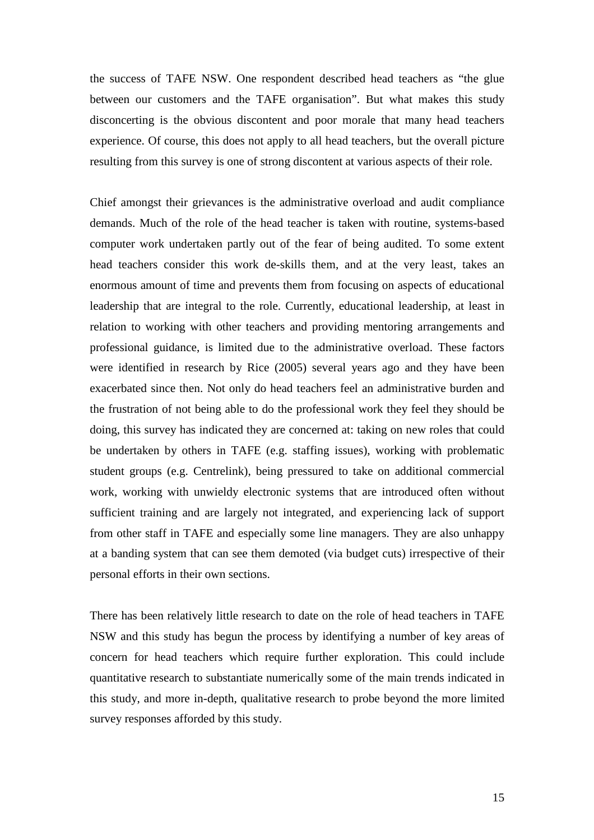the success of TAFE NSW. One respondent described head teachers as "the glue between our customers and the TAFE organisation". But what makes this study disconcerting is the obvious discontent and poor morale that many head teachers experience. Of course, this does not apply to all head teachers, but the overall picture resulting from this survey is one of strong discontent at various aspects of their role.

Chief amongst their grievances is the administrative overload and audit compliance demands. Much of the role of the head teacher is taken with routine, systems-based computer work undertaken partly out of the fear of being audited. To some extent head teachers consider this work de-skills them, and at the very least, takes an enormous amount of time and prevents them from focusing on aspects of educational leadership that are integral to the role. Currently, educational leadership, at least in relation to working with other teachers and providing mentoring arrangements and professional guidance, is limited due to the administrative overload. These factors were identified in research by Rice (2005) several years ago and they have been exacerbated since then. Not only do head teachers feel an administrative burden and the frustration of not being able to do the professional work they feel they should be doing, this survey has indicated they are concerned at: taking on new roles that could be undertaken by others in TAFE (e.g. staffing issues), working with problematic student groups (e.g. Centrelink), being pressured to take on additional commercial work, working with unwieldy electronic systems that are introduced often without sufficient training and are largely not integrated, and experiencing lack of support from other staff in TAFE and especially some line managers. They are also unhappy at a banding system that can see them demoted (via budget cuts) irrespective of their personal efforts in their own sections.

There has been relatively little research to date on the role of head teachers in TAFE NSW and this study has begun the process by identifying a number of key areas of concern for head teachers which require further exploration. This could include quantitative research to substantiate numerically some of the main trends indicated in this study, and more in-depth, qualitative research to probe beyond the more limited survey responses afforded by this study.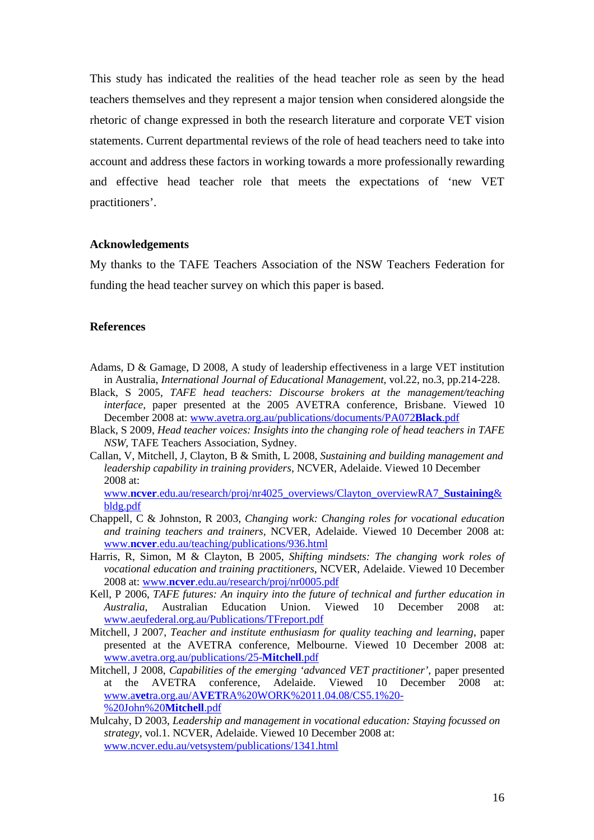This study has indicated the realities of the head teacher role as seen by the head teachers themselves and they represent a major tension when considered alongside the rhetoric of change expressed in both the research literature and corporate VET vision statements. Current departmental reviews of the role of head teachers need to take into account and address these factors in working towards a more professionally rewarding and effective head teacher role that meets the expectations of 'new VET practitioners'.

### **Acknowledgements**

My thanks to the TAFE Teachers Association of the NSW Teachers Federation for funding the head teacher survey on which this paper is based.

## **References**

- Adams, D & Gamage, D 2008, A study of leadership effectiveness in a large VET institution in Australia, *International Journal of Educational Management*, vol.22, no.3, pp.214-228.
- Black, S 2005, *TAFE head teachers: Discourse brokers at the management/teaching interface*, paper presented at the 2005 AVETRA conference, Brisbane. Viewed 10 December 2008 at: www.avetra.org.au/publications/documents/PA072**Black**.pdf
- Black, S 2009, *Head teacher voices: Insights into the changing role of head teachers in TAFE NSW,* TAFE Teachers Association, Sydney.
- Callan, V, Mitchell, J, Clayton, B & Smith, L 2008, *Sustaining and building management and leadership capability in training providers,* NCVER, Adelaide. Viewed 10 December 2008 at:

www.**ncver**.edu.au/research/proj/nr4025\_overviews/Clayton\_overviewRA7\_**Sustaining**& bldg.pdf

- Chappell, C & Johnston, R 2003, *Changing work: Changing roles for vocational education and training teachers and trainers,* NCVER, Adelaide. Viewed 10 December 2008 at: www.**ncver**.edu.au/teaching/publications/936.html
- Harris, R, Simon, M & Clayton, B 2005, *Shifting mindsets: The changing work roles of vocational education and training practitioners,* NCVER, Adelaide. Viewed 10 December 2008 at: www.**ncver**.edu.au/research/proj/nr0005.pdf
- Kell, P 2006, *TAFE futures: An inquiry into the future of technical and further education in Australia*, Australian Education Union. Viewed 10 December 2008 at: www.aeufederal.org.au/Publications/TFreport.pdf
- Mitchell, J 2007, *Teacher and institute enthusiasm for quality teaching and learning*, paper presented at the AVETRA conference, Melbourne. Viewed 10 December 2008 at: www.avetra.org.au/publications/25-**Mitchell**.pdf
- Mitchell, J 2008, *Capabilities of the emerging 'advanced VET practitioner'*, paper presented at the AVETRA conference, Adelaide. Viewed 10 December 2008 at: www.a**vet**ra.org.au/A**VET**RA%20WORK%2011.04.08/CS5.1%20- %20John%20**Mitchell**.pdf
- Mulcahy, D 2003, *Leadership and management in vocational education: Staying focussed on strategy,* vol.1. NCVER, Adelaide. Viewed 10 December 2008 at: www.ncver.edu.au/vetsystem/publications/1341.html